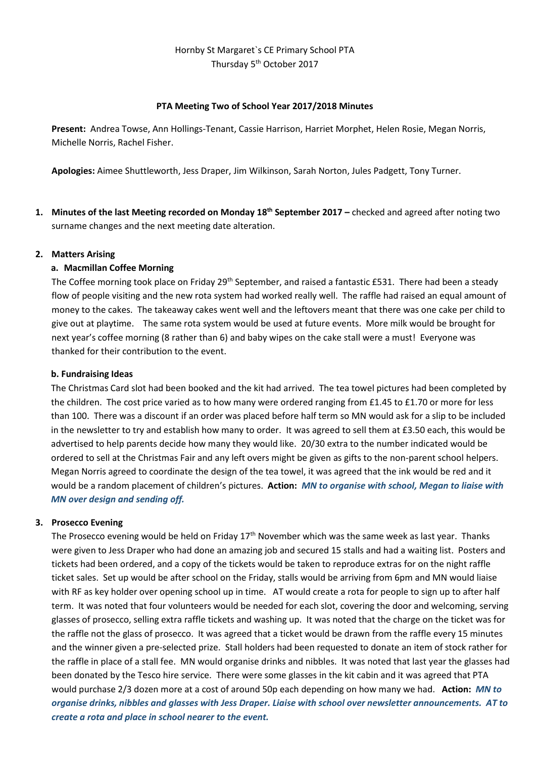# Hornby St Margaret`s CE Primary School PTA Thursday 5<sup>th</sup> October 2017

#### **PTA Meeting Two of School Year 2017/2018 Minutes**

**Present:** Andrea Towse, Ann Hollings-Tenant, Cassie Harrison, Harriet Morphet, Helen Rosie, Megan Norris, Michelle Norris, Rachel Fisher.

**Apologies:** Aimee Shuttleworth, Jess Draper, Jim Wilkinson, Sarah Norton, Jules Padgett, Tony Turner.

**1. Minutes of the last Meeting recorded on Monday 18th September 2017 –** checked and agreed after noting two surname changes and the next meeting date alteration.

#### **2. Matters Arising**

# **a. Macmillan Coffee Morning**

The Coffee morning took place on Friday 29<sup>th</sup> September, and raised a fantastic £531. There had been a steady flow of people visiting and the new rota system had worked really well. The raffle had raised an equal amount of money to the cakes. The takeaway cakes went well and the leftovers meant that there was one cake per child to give out at playtime. The same rota system would be used at future events. More milk would be brought for next year's coffee morning (8 rather than 6) and baby wipes on the cake stall were a must! Everyone was thanked for their contribution to the event.

#### **b. Fundraising Ideas**

The Christmas Card slot had been booked and the kit had arrived. The tea towel pictures had been completed by the children. The cost price varied as to how many were ordered ranging from £1.45 to £1.70 or more for less than 100. There was a discount if an order was placed before half term so MN would ask for a slip to be included in the newsletter to try and establish how many to order. It was agreed to sell them at £3.50 each, this would be advertised to help parents decide how many they would like. 20/30 extra to the number indicated would be ordered to sell at the Christmas Fair and any left overs might be given as gifts to the non-parent school helpers. Megan Norris agreed to coordinate the design of the tea towel, it was agreed that the ink would be red and it would be a random placement of children's pictures. **Action:** *MN to organise with school, Megan to liaise with MN over design and sending off.*

# **3. Prosecco Evening**

The Prosecco evening would be held on Friday 17<sup>th</sup> November which was the same week as last year. Thanks were given to Jess Draper who had done an amazing job and secured 15 stalls and had a waiting list. Posters and tickets had been ordered, and a copy of the tickets would be taken to reproduce extras for on the night raffle ticket sales. Set up would be after school on the Friday, stalls would be arriving from 6pm and MN would liaise with RF as key holder over opening school up in time. AT would create a rota for people to sign up to after half term. It was noted that four volunteers would be needed for each slot, covering the door and welcoming, serving glasses of prosecco, selling extra raffle tickets and washing up. It was noted that the charge on the ticket was for the raffle not the glass of prosecco. It was agreed that a ticket would be drawn from the raffle every 15 minutes and the winner given a pre-selected prize. Stall holders had been requested to donate an item of stock rather for the raffle in place of a stall fee. MN would organise drinks and nibbles. It was noted that last year the glasses had been donated by the Tesco hire service. There were some glasses in the kit cabin and it was agreed that PTA would purchase 2/3 dozen more at a cost of around 50p each depending on how many we had. **Action:** *MN to organise drinks, nibbles and glasses with Jess Draper. Liaise with school over newsletter announcements. AT to create a rota and place in school nearer to the event.*